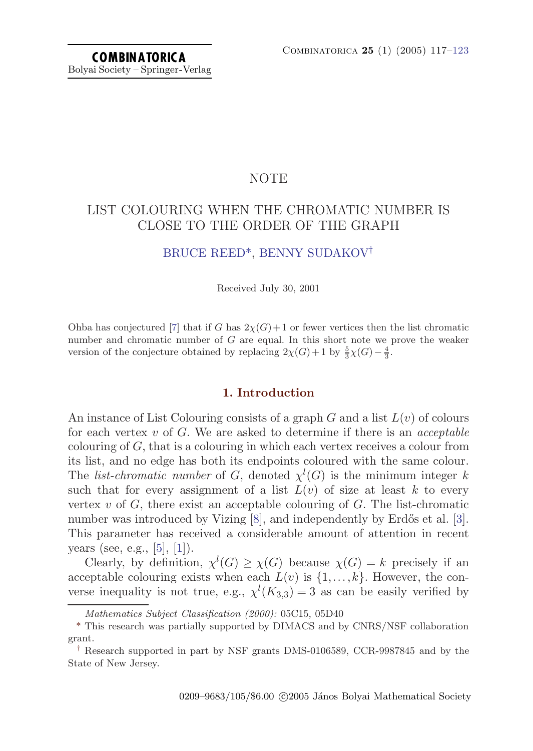# NOTE

# LIST COLOURING WHEN THE CHROMATIC NUMBER IS CLOSE TO THE ORDER OF THE GRAPH

# [BRUCE REED](#page-6-0)\*, [BENNY SUDAKOV](#page-6-0)†

Received July 30, 2001

Ohba has conjectured [\[7](#page-6-0)] that if G has  $2\chi(G)+1$  or fewer vertices then the list chromatic number and chromatic number of  $G$  are equal. In this short note we prove the weaker version of the conjecture obtained by replacing  $2\chi(G) + 1$  by  $\frac{5}{3}\chi(G) - \frac{4}{3}$ .

#### **1. Introduction**

An instance of List Colouring consists of a graph G and a list  $L(v)$  of colours for each vertex v of  $G$ . We are asked to determine if there is an *acceptable* colouring of  $G$ , that is a colouring in which each vertex receives a colour from its list, and no edge has both its endpoints coloured with the same colour. The *list-chromatic number* of G, denoted  $\chi^l(G)$  is the minimum integer k such that for every assignment of a list  $L(v)$  of size at least k to every vertex  $v$  of  $G$ , there exist an acceptable colouring of  $G$ . The list-chromatic number was introduced by Vizing  $[8]$ , and independently by Erdős et al.  $[3]$  $[3]$  $[3]$ . This parameter has received a considerable amount of attention in recent years (see, e.g., [[5\]](#page-6-0), [[1](#page-5-0)]).

Clearly, by definition,  $\chi^l(G) \geq \chi(G)$  because  $\chi(G) = k$  precisely if an acceptable colouring exists when each  $L(v)$  is  $\{1,\ldots,k\}$ . However, the converse inequality is not true, e.g.,  $\chi^l(K_{3,3}) = 3$  as can be easily verified by

Mathematics Subject Classification (2000): 05C15, 05D40

<sup>\*</sup> This research was partially supported by DIMACS and by CNRS/NSF collaboration grant.

<sup>†</sup> Research supported in part by NSF grants DMS-0106589, CCR-9987845 and by the State of New Jersey.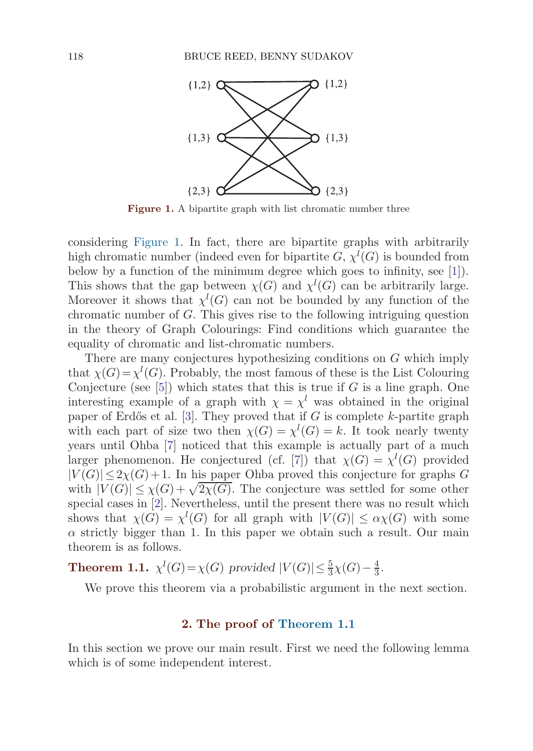<span id="page-1-0"></span>

Figure 1. A bipartite graph with list chromatic number three

considering Figure 1. In fact, there are bipartite graphs with arbitrarily high chromatic number (indeed even for bipartite  $G, \chi^l(G)$  is bounded from below by a function of the minimum degree which goes to infinity, see [[1\]](#page-5-0)). This shows that the gap between  $\chi(G)$  and  $\chi^l(G)$  can be arbitrarily large. Moreover it shows that  $\chi^l(G)$  can not be bounded by any function of the chromatic number of G. This gives rise to the following intriguing question in the theory of Graph Colourings: Findconditions which guarantee the equality of chromatic and list-chromatic numbers.

There are many conjectures hypothesizing conditions on G which imply that  $\chi(G) = \chi^l(G)$ . Probably, the most famous of these is the List Colouring Conjecture (see  $[5]$  $[5]$  $[5]$ ) which states that this is true if G is a line graph. One interesting example of a graph with  $\chi = \chi^l$  was obtained in the original paper of Erdős et al. [\[3\]](#page-6-0). They proved that if G is complete k-partite graph with each part of size two then  $\chi(G) = \chi^l(G) = k$ . It took nearly twenty years until Ohba [\[7\]](#page-6-0) noticed that this example is actually part of a much larger phenomenon. He conjectured (cf. [\[7](#page-6-0)]) that  $\chi(G) = \chi^l(G)$  provided  $|V(G)| \leq 2\chi(G)+1$ . In his paper Ohba proved this conjecture for graphs G with  $|V(G)| \leq \chi(G) + \sqrt{2\chi(G)}$ . The conjecture was settled for some other special cases in [[2](#page-6-0)]. Nevertheless, until the present there was no result which shows that  $\chi(G) = \chi^l(G)$  for all graph with  $|V(G)| \leq \alpha \chi(G)$  with some  $\alpha$  strictly bigger than 1. In this paper we obtain such a result. Our main theorem is as follows.

**Theorem 1.1.**  $\chi^{l}(G) = \chi(G)$  provided  $|V(G)| \leq \frac{5}{3}\chi(G) - \frac{4}{3}$ .

We prove this theorem via a probabilistic argument in the next section.

### **2. The proof of Theorem 1.1**

In this section we prove our main result. First we need the following lemma which is of some independent interest.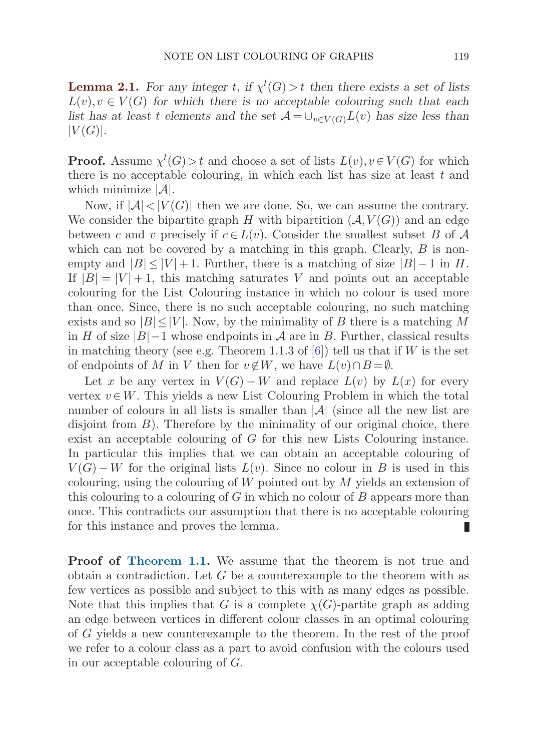<span id="page-2-0"></span>**Lemma 2.1.** *For any integer t*, if  $\chi^l(G) > t$  *then there exists a set of lists*  $L(v), v \in V(G)$  for which there is no acceptable colouring such that each *list has at least t elements and the set*  $\mathcal{A} = \bigcup_{v \in V(G)} L(v)$  *has size less than*  $|V(G)|$ .

**Proof.** Assume  $\chi^l(G) > t$  and choose a set of lists  $L(v), v \in V(G)$  for which there is no acceptable colouring, in which each list has size at least  $t$  and which minimize  $|\mathcal{A}|$ .

Now, if  $|\mathcal{A}| < |V(G)|$  then we are done. So, we can assume the contrary. We consider the bipartite graph H with bipartition  $(\mathcal{A}, V(G))$  and an edge between c and v precisely if  $c \in L(v)$ . Consider the smallest subset B of A which can not be covered by a matching in this graph. Clearly,  $B$  is nonempty and  $|B| \leq |V| + 1$ . Further, there is a matching of size  $|B| - 1$  in H. If  $|B| = |V| + 1$ , this matching saturates V and points out an acceptable colouring for the List Colouring instance in which no colour is usedmore than once. Since, there is no such acceptable colouring, no such matching exists and so  $|B| \leq |V|$ . Now, by the minimality of B there is a matching M in H of size  $|B|-1$  whose endpoints in A are in B. Further, classical results in matching theory (see e.g. Theorem 1.1.3 of  $[6]$ ) tell us that if W is the set of endpoints of M in V then for  $v \notin W$ , we have  $L(v) \cap B = \emptyset$ .

Let x be any vertex in  $V(G) - W$  and replace  $L(v)$  by  $L(x)$  for every vertex  $v \in W$ . This yields a new List Colouring Problem in which the total number of colours in all lists is smaller than  $|\mathcal{A}|$  (since all the new list are disjoint from  $B$ ). Therefore by the minimality of our original choice, there exist an acceptable colouring of G for this new Lists Colouring instance. In particular this implies that we can obtain an acceptable colouring of  $V(G) - W$  for the original lists  $L(v)$ . Since no colour in B is used in this colouring, using the colouring of  $W$  pointed out by  $M$  yields an extension of this colouring to a colouring of  $G$  in which no colour of  $B$  appears more than once. This contradicts our assumption that there is no acceptable colouring for this instance and proves the lemma. П

**Proof of [Theorem 1.1.](#page-1-0)** We assume that the theorem is not true and obtain a contradiction. Let  $G$  be a counterexample to the theorem with as few vertices as possible and subject to this with as many edges as possible. Note that this implies that G is a complete  $\chi(G)$ -partite graph as adding an edge between vertices in different colour classes in an optimal colouring of G yields a new counterexample to the theorem. In the rest of the proof we refer to a colour class as a part to avoid confusion with the colours used in our acceptable colouring of G.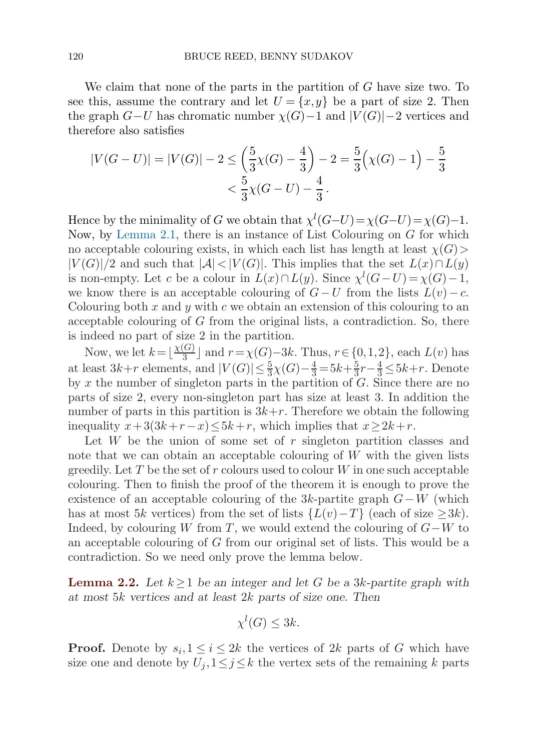<span id="page-3-0"></span>We claim that none of the parts in the partition of G have size two. To see this, assume the contrary and let  $U = \{x, y\}$  be a part of size 2. Then the graph  $G-U$  has chromatic number  $\chi(G)-1$  and  $|V(G)|-2$  vertices and therefore also satisfies

$$
|V(G-U)| = |V(G)| - 2 \le \left(\frac{5}{3}\chi(G) - \frac{4}{3}\right) - 2 = \frac{5}{3}\left(\chi(G) - 1\right) - \frac{5}{3}
$$
  
<  $\frac{5}{3}\chi(G-U) - \frac{4}{3}$ .

Hence by the minimality of G we obtain that  $\chi^l(G-U) = \chi(G-U) = \chi(G)-1$ . Now, by [Lemma 2.1](#page-2-0), there is an instance of List Colouring on G for which no acceptable colouring exists, in which each list has length at least  $\chi(G)$  $|V(G)|/2$  and such that  $|\mathcal{A}| < |V(G)|$ . This implies that the set  $L(x) \cap L(y)$ is non-empty. Let c be a colour in  $L(x) \cap L(y)$ . Since  $\chi^l(G-U) = \chi(G) - 1$ , we know there is an acceptable colouring of  $G-U$  from the lists  $L(v)-c$ . Colouring both  $x$  and  $y$  with  $c$  we obtain an extension of this colouring to an acceptable colouring of  $G$  from the original lists, a contradiction. So, there is indeed no part of size 2 in the partition.

Now, we let  $k = \lfloor \frac{\chi(G)}{3} \rfloor$  and  $r = \chi(G) - 3k$ . Thus,  $r \in \{0, 1, 2\}$ , each  $L(v)$  has at least  $3k+r$  elements, and  $|V(G)| \leq \frac{5}{3}\chi(G) - \frac{4}{3} = 5k + \frac{5}{3}r - \frac{4}{3} \leq 5k+r$ . Denote by  $x$  the number of singleton parts in the partition of  $G$ . Since there are no parts of size 2, every non-singleton part has size at least 3. In addition the number of parts in this partition is  $3k+r$ . Therefore we obtain the following inequality  $x+3(3k+r-x) \leq 5k+r$ , which implies that  $x \geq 2k+r$ .

Let  $W$  be the union of some set of  $r$  singleton partition classes and note that we can obtain an acceptable colouring of  $W$  with the given lists greedily. Let T be the set of r colours used to colour  $W$  in one such acceptable colouring. Then to finish the proof of the theorem it is enough to prove the existence of an acceptable colouring of the 3k-partite graph  $G-W$  (which has at most 5k vertices) from the set of lists  $\{L(v) - T\}$  (each of size  $\geq 3k$ ). Indeed, by colouring W from T, we would extend the colouring of  $G-W$  to an acceptable colouring of  $G$  from our original set of lists. This would be a contradiction. So we need only prove the lemma below.

**Lemma 2.2.** *Let* k≥1 *be an integer and let* G *be a* 3k*-partite graph with at most* 5k *vertices and at least* 2k *parts of size one. Then*

$$
\chi^l(G) \le 3k.
$$

**Proof.** Denote by  $s_i, 1 \leq i \leq 2k$  the vertices of 2k parts of G which have size one and denote by  $U_j, 1 \leq j \leq k$  the vertex sets of the remaining k parts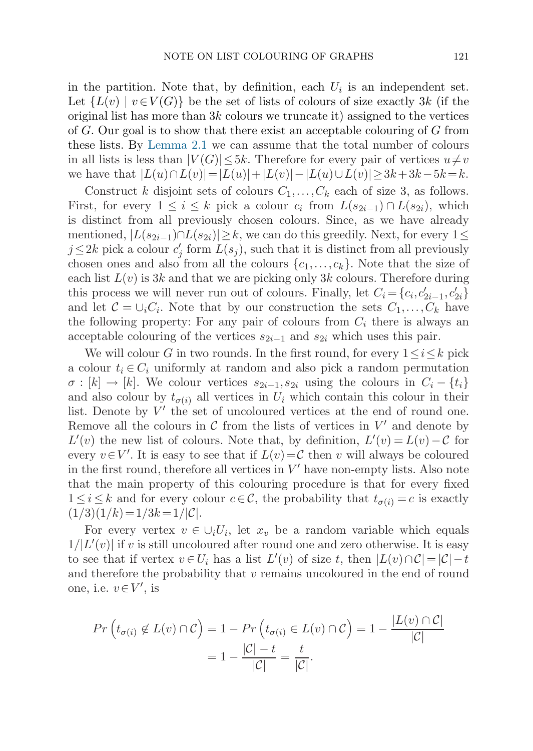in the partition. Note that, by definition, each  $U_i$  is an independent set. Let  ${L(v) \mid v \in V(G)}$  be the set of lists of colours of size exactly 3k (if the original list has more than  $3k$  colours we truncate it) assigned to the vertices of  $G$ . Our goal is to show that there exist an acceptable colouring of  $G$  from these lists. By [Lemma 2.1](#page-2-0) we can assume that the total number of colours in all lists is less than  $|V(G)| \leq 5k$ . Therefore for every pair of vertices  $u \neq v$ we have that  $|L(u) \cap L(v)| = |L(u)| + |L(v)| - |L(u) \cup L(v)| \geq 3k + 3k - 5k = k.$ 

Construct k disjoint sets of colours  $C_1, \ldots, C_k$  each of size 3, as follows. First, for every  $1 \leq i \leq k$  pick a colour  $c_i$  from  $L(s_{2i-1}) \cap L(s_{2i})$ , which is distinct from all previously chosen colours. Since, as we have already mentioned,  $|L(s_{2i-1}) \cap L(s_{2i})| \geq k$ , we can do this greedily. Next, for every  $1 \leq$  $j \leq 2k$  pick a colour  $c'_j$  form  $L(s_j)$ , such that it is distinct from all previously chosen ones and also from all the colours  $\{c_1,\ldots,c_k\}$ . Note that the size of each list  $L(v)$  is 3k and that we are picking only 3k colours. Therefore during this process we will never run out of colours. Finally, let  $C_i = \{c_i, c'_{2i-1}, c'_{2i}\}\$ and let  $C = \bigcup_i C_i$ . Note that by our construction the sets  $C_1, \ldots, C_k$  have the following property: For any pair of colours from  $C_i$  there is always an acceptable colouring of the vertices  $s_{2i-1}$  and  $s_{2i}$  which uses this pair.

We will colour G in two rounds. In the first round, for every  $1 \le i \le k$  pick a colour  $t_i \in C_i$  uniformly at random and also pick a random permutation  $\sigma : [k] \to [k]$ . We colour vertices  $s_{2i-1}, s_{2i}$  using the colours in  $C_i - \{t_i\}$ and also colour by  $t_{\sigma(i)}$  all vertices in  $U_i$  which contain this colour in their list. Denote by  $V'$  the set of uncoloured vertices at the end of round one. Remove all the colours in  $\mathcal C$  from the lists of vertices in  $V'$  and denote by  $L'(v)$  the new list of colours. Note that, by definition,  $L'(v) = L(v) - C$  for every  $v \in V'$ . It is easy to see that if  $L(v) = C$  then v will always be coloured in the first round, therefore all vertices in  $V'$  have non-empty lists. Also note that the main property of this colouring procedure is that for every fixed  $1 \leq i \leq k$  and for every colour  $c \in \mathcal{C}$ , the probability that  $t_{\sigma(i)} = c$  is exactly  $(1/3)(1/k)=1/3k=1/|\mathcal{C}|.$ 

For every vertex  $v \in \bigcup_i U_i$ , let  $x_v$  be a random variable which equals  $1/|L'(v)|$  if v is still uncoloured after round one and zero otherwise. It is easy to see that if vertex  $v \in U_i$  has a list  $L'(v)$  of size t, then  $|L(v) \cap C| = |C| - t$ and therefore the probability that  $v$  remains uncoloured in the end of round one, i.e.  $v \in V'$ , is

$$
Pr\left(t_{\sigma(i)} \notin L(v) \cap C\right) = 1 - Pr\left(t_{\sigma(i)} \in L(v) \cap C\right) = 1 - \frac{|L(v) \cap C|}{|C|}
$$

$$
= 1 - \frac{|C| - t}{|C|} = \frac{t}{|C|}.
$$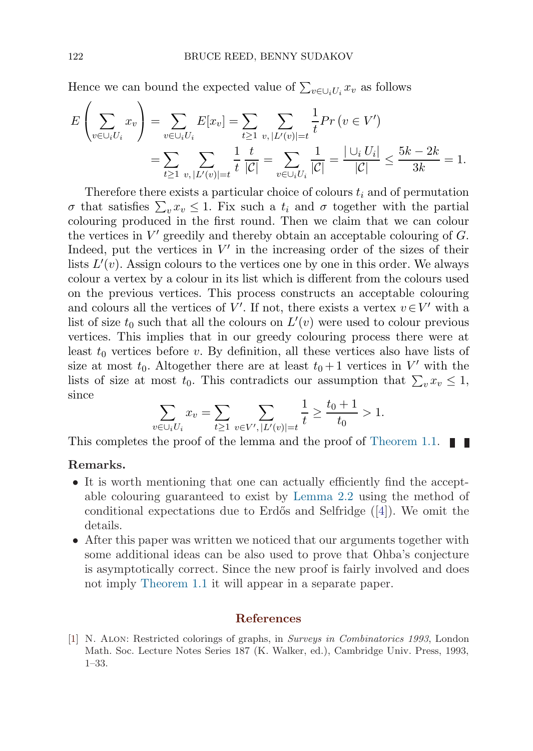<span id="page-5-0"></span>Hence we can bound the expected value of  $\sum_{v \in \bigcup_i U_i} x_v$  as follows

$$
E\left(\sum_{v \in \bigcup_i U_i} x_v\right) = \sum_{v \in \bigcup_i U_i} E[x_v] = \sum_{t \ge 1} \sum_{v, |L'(v)| = t} \frac{1}{t} Pr\left(v \in V'\right)
$$
  
= 
$$
\sum_{t \ge 1} \sum_{v, |L'(v)| = t} \frac{1}{t} \frac{t}{|\mathcal{C}|} = \sum_{v \in \bigcup_i U_i} \frac{1}{|\mathcal{C}|} = \frac{|\bigcup_i U_i|}{|\mathcal{C}|} \le \frac{5k - 2k}{3k} = 1.
$$

Therefore there exists a particular choice of colours  $t_i$  and of permutation σ that satisfies  $\sum_{v} x_v \leq 1$ . Fix such a  $t_i$  and σ together with the partial colouring produced in the first round. Then we claim that we can colour the vertices in  $V'$  greedily and thereby obtain an acceptable colouring of  $G$ . Indeed, put the vertices in  $V'$  in the increasing order of the sizes of their lists  $L'(v)$ . Assign colours to the vertices one by one in this order. We always colour a vertex by a colour in its list which is different from the colours used on the previous vertices. This process constructs an acceptable colouring and colours all the vertices of V'. If not, there exists a vertex  $v \in V'$  with a list of size  $t_0$  such that all the colours on  $L'(v)$  were used to colour previous vertices. This implies that in our greedy colouring process there were at least  $t_0$  vertices before v. By definition, all these vertices also have lists of size at most  $t_0$ . Altogether there are at least  $t_0 + 1$  vertices in V' with the lists of size at most  $t_0$ . This contradicts our assumption that  $\sum_v x_v \leq 1$ , since

$$
\sum_{v \in \bigcup_i U_i} x_v = \sum_{t \ge 1} \sum_{v \in V', |L'(v)| = t} \frac{1}{t} \ge \frac{t_0 + 1}{t_0} > 1.
$$

This completes the proof of the lemma and the proof of [Theorem 1.1](#page-1-0).  $\blacksquare$ 

## **Remarks.**

- It is worth mentioning that one can actually efficiently find the acceptable colouring guaranteed to exist by Lemma  $2.2$  using the method of conditional expectations due to Erdős and Selfridge  $([4])$  $([4])$  $([4])$ . We omit the details.
- After this paper was written we noticed that our arguments together with some additional ideas can be also used to prove that Ohba's conjecture is asymptotically correct. Since the new proof is fairly involved and does not imply [Theorem 1.1](#page-1-0) it will appear in a separate paper.

#### **References**

[1] N. Alon: Restricted colorings of graphs, in Surveys in Combinatorics 1993, London Math. Soc. Lecture Notes Series 187 (K. Walker, ed.), Cambridge Univ. Press, 1993, 1–33.